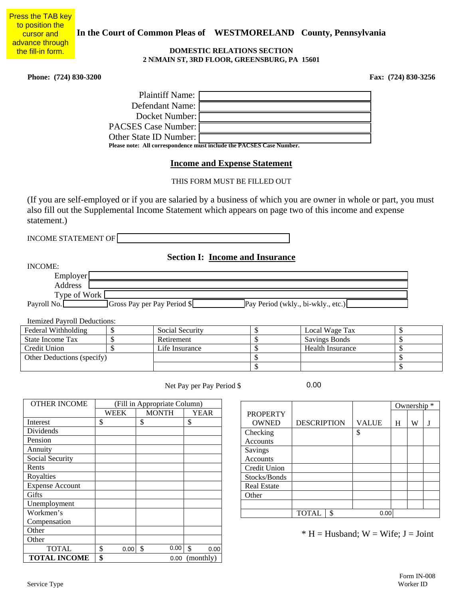**In the Court of Common Pleas of WESTMORELAND County, Pennsylvania** 

#### **DOMESTIC RELATIONS SECTION 2 N MAIN ST, 3RD FLOOR, GREENSBURG, PA 15601**

**Phone: (724) 830-3200 Fax: (724) 830-3256** 

**Press the TAB key** 

to position the cursor and advance through the fill-in form.

| <b>Plaintiff Name:</b>   |                                                                      |
|--------------------------|----------------------------------------------------------------------|
| Defendant Name:          |                                                                      |
| Docket Number: [         |                                                                      |
| PACSES Case Number: [    |                                                                      |
| Other State ID Number: [ |                                                                      |
|                          | Please note: All correspondence must include the PACSES Case Number. |

### **Income and Expense Statement**

THIS FORM MUST BE FILLED OUT

(If you are self-employed or if you are salaried by a business of which you are owner in whole or part, you must also fill out the Supplemental Income Statement which appears on page two of this income and expense statement.)

INCOME STATEMENT OF

# **Section I: Income and Insurance**

| INCOME:      |                             |                                    |  |
|--------------|-----------------------------|------------------------------------|--|
| Employer     |                             |                                    |  |
| Address      |                             |                                    |  |
| Type of Work |                             |                                    |  |
| Payroll No.  | Gross Pay per Pay Period \$ | Pay Period (wkly., bi-wkly., etc.) |  |

Itemized Payroll Deductions:

| Federal Withholding        |  | Social Security | Local Wage Tax   |  |
|----------------------------|--|-----------------|------------------|--|
| State Income Tax           |  | Retirement      | Savings Bonds    |  |
| Credit Union               |  | Life Insurance  | Health Insurance |  |
| Other Deductions (specify) |  |                 |                  |  |
|                            |  |                 |                  |  |

Net Pay per Pay Period \$

0.00

| <b>OTHER INCOME</b>    | (Fill in Appropriate Column) |                       |                       |                    |                    |               |                            |
|------------------------|------------------------------|-----------------------|-----------------------|--------------------|--------------------|---------------|----------------------------|
|                        | <b>WEEK</b>                  | <b>MONTH</b>          | <b>YEAR</b>           | <b>PROPERTY</b>    |                    |               |                            |
| Interest               | \$                           | \$                    | \$                    | <b>OWNED</b>       | <b>DESCRIPTION</b> |               | <b>VALUE</b>               |
| Dividends              |                              |                       |                       | Checking           |                    |               | \$                         |
| Pension                |                              |                       |                       | Accounts           |                    |               |                            |
| Annuity                |                              |                       |                       | Savings            |                    |               |                            |
| Social Security        |                              |                       |                       | Accounts           |                    |               |                            |
| Rents                  |                              |                       |                       | Credit Union       |                    |               |                            |
| Royalties              |                              |                       |                       | Stocks/Bonds       |                    |               |                            |
| <b>Expense Account</b> |                              |                       |                       | <b>Real Estate</b> |                    |               |                            |
| Gifts                  |                              |                       |                       | Other              |                    |               |                            |
| Unemployment           |                              |                       |                       |                    |                    |               |                            |
| Workmen's              |                              |                       |                       |                    | <b>TOTAL</b>       | $\mathcal{S}$ | 0.00                       |
| Compensation           |                              |                       |                       |                    |                    |               |                            |
| Other                  |                              |                       |                       |                    |                    |               | $* H = H$ usband; $W = Wi$ |
| Other                  |                              |                       |                       |                    |                    |               |                            |
| <b>TOTAL</b>           | \$<br>0.00                   | 0.00<br>$\mathcal{S}$ | $\mathcal{S}$<br>0.00 |                    |                    |               |                            |
| <b>TOTAL INCOME</b>    | \$                           | 0.00                  | (monthly)             |                    |                    |               |                            |

Ownership \* **PROPERTY**  $OWNED$  DESCRIPTION VALUE  $|H| \le W$  J Checking Accounts \$ Savings Accounts Credit Union Stocks/Bonds Real Estate **Other** TOTAL \\$

 $* H = H$ usband; W = Wife; J = Joint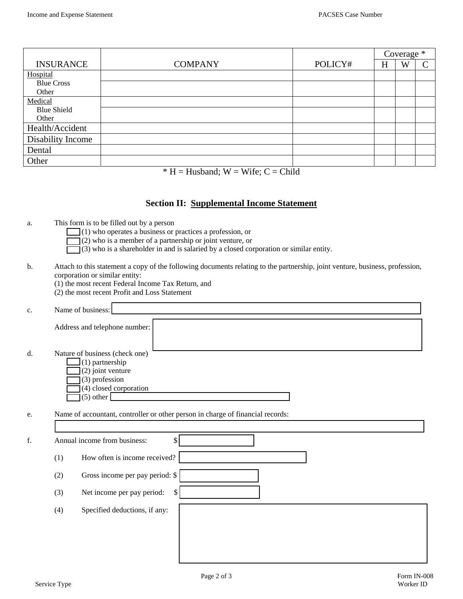|                    |                |         | Coverage * |   |                          |
|--------------------|----------------|---------|------------|---|--------------------------|
| <b>INSURANCE</b>   | <b>COMPANY</b> | POLICY# | H          | W | $\overline{\phantom{1}}$ |
| Hospital           |                |         |            |   |                          |
| <b>Blue Cross</b>  |                |         |            |   |                          |
| Other              |                |         |            |   |                          |
| Medical            |                |         |            |   |                          |
| <b>Blue Shield</b> |                |         |            |   |                          |
| Other              |                |         |            |   |                          |
| Health/Accident    |                |         |            |   |                          |
| Disability Income  |                |         |            |   |                          |
| Dental             |                |         |            |   |                          |
| Other              |                |         |            |   |                          |

 $* H = H$ usband; W = Wife; C = Child

## **Section II: Supplemental Income Statement**

a. This form is to be filled out by a person

 $\Box$ (1) who operates a business or practices a profession, or

- (2) who is a member of a partnership or joint venture, or
- $\overline{\mathcal{A}}(3)$  who is a shareholder in and is salaried by a closed corporation or similar entity.
- b. Attach to this statement a copy of the following documents relating to the partnership, joint venture, business, profession, corporation or similar entity:
	- (1) the most recent Federal Income Tax Return, and
	- (2) the most recent Profit and Loss Statement

| c. | Name of business:                   |
|----|-------------------------------------|
|    |                                     |
|    | Address and telephone number:       |
|    |                                     |
| d. | Nature of business (check one)      |
|    |                                     |
|    | $\Box(1)$ partnership               |
|    | $\Box$ (2) joint venture            |
|    | $\Box$ (3) profession               |
|    | $\mathcal{I}(4)$ closed corporation |
|    | $(5)$ other                         |
|    |                                     |

e. Name of accountant, controller or other person in charge of financial records:

| f. |     | Annual income from business:<br>Φ |
|----|-----|-----------------------------------|
|    | (1) | How often is income received?     |
|    | (2) | Gross income per pay period: \$   |
|    | (3) | Net income per pay period:<br>\$. |
|    | (4) | Specified deductions, if any:     |
|    |     |                                   |
|    |     |                                   |
|    |     |                                   |

Г